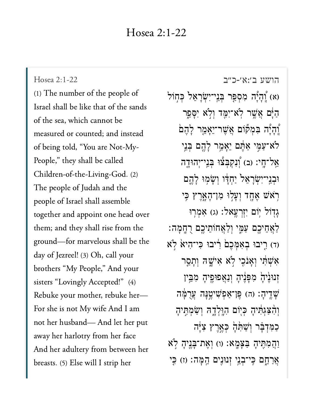Hosea 2:1-22<br>(1) [The numb](https://www.sefaria.org/Hosea%202:1-22)er of the people of Hosea 2:1-22 Israel shall be like that of the sands of the sea, which cannot be measured or counted; and instead of being told, "You are Not-My-People," they shall be called Children-of-the-Living-God. (2) The people of Judah and the people of Israel shall assemble together and appoint one head over them; and they shall rise from the ground—for marvelous shall be the day of Jezreel! (3) Oh, call your sisters "My People," And your sisters "Lovingly Accepted!" (4) Rebuke your mother, rebuke her-For she is not My wife And I am  $\overrightarrow{1}$  here has her face the her face the her face the her face the her face the her face the her face the her face the her face the her face the her face the her face the her face the her face the her face the her face away her harlotry from her face And her adultery from between her breasts. (5) Else will I strip her

[הושע ב׳:א׳-כ״ב](https://www.sefaria.org/Hosea%202:1-22) 2:1-22 Hosea א) וְהָיָٓה מִסְפַּר בְּנֵי־יִשְׂרָאֵל בְּחָוֹל) (א ַהַּיָּם אֲשֱר לְא־יִמֲד וְלְא יִסָּפֵר ֿוְהָיָٗה בִּמְקוֹם אֲשֶׁר־יֵאָמֵר לָהֶם ֹלא־ַע ִּ֣מ י ַא ֶּ֔ת ם ֵיָא ֵ֥מ ר ָל ֶ֖ה ם ְּב ֵ֥ני ֹאֱל־חָי: (ב) וְנִקְבָּצُוּ בְּנֵי־יִהוּדֶה וּבְנֵי־יִשְׂרָאֵל יַחְדָו וְשָׂמְוּ לָהֵם ֿרְאֹשׁ אֵחֶד וִעָלִוּ מִן־הָאֲרֵץ כֵּי  $i$ יִוּם יְזִרְעֵאל: (ג) אָמְרוּ ַלְאֲחֵיכֵם עַמֶּי וְלַאֲחוֹתֵיכֵם רָחֲמָה: (ד) רִיבוּ בְאָמְּכֵם רִיבוּ כִּי־הָיא לְא אִשְׁת יוָאַנֹכֵי לְא אִיּשָׁה וְתַסֵר זִנוּנֵ<sup>י</sup>יָהָ מִפְּנֶיהָ וְנַאֲפוּפֶיהָ מִבְּין ֿשָׁדֵיהָ: (ה) פֵּן־אַפְשִׁיטֵנָּה עֲרֻמָּ֫ה וְהָצַגְתִּ֫יהָ כְּיִוֹּם הָוָּלְדָהּ וְשַׂמְתֵּיהָ כַמְּדִּבָּר וְשַׁתְּהָ כָּאֱרֵץ צְיָּה ַוְהַמְתִּיהָ בַּצָּמֶא׃ (ו) וְאֶת־בָּנֵיהָ לְא ְאֲרַחֱם כֵּי־בְנֵי זְנוּנֵים הֱמָּה: (ז) כֵּי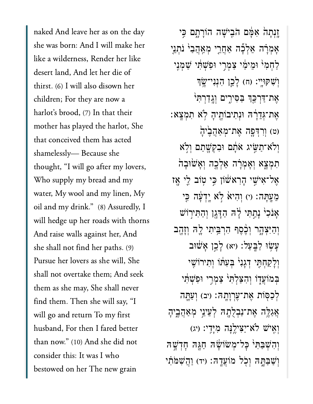naked And leave her as on the day she was born: And I will make her like a wilderness, Render her like desert land, And let her die of thirst.  $(6)$  I will also disown her children; For they are now a mother has played the harlot, Shemother has played the harlot, She that conceived them has acted shamelessly-Because she thought, "I will go after my lovers, Who supply my bread and my water, My wool and my linen, My oil and my drink." (8) Assuredly, I will hedge up her roads with thorns And raise walls against her, And she shall not find her paths. (9) Pursue her lovers as she will, She shall not overtake them; And seek them as she may, She shall never find them. Then she will say, "I  $\mathbf{H} = \mathbf{F} \mathbf{F} \mathbf{F}$ husband, For then I fared better<br>than now." (10) And she did not than now." (10) And she did not consider this: It was I who bestowed on her The new grain

ַיָּנְתַהֹ אִמָּ֫ם הֹבִישָׁה הוֹרָתָם כֵּי אֲמְרָׂה אֱלְכָּה אָחֲרֵי מְאֲהֵבָ<sup>ּוּ</sup> נֹתְנֵי ַלְחָמִי ּוּמֵימַׂי צָמְרֵי וּפְשָׁתִּ֫י שָׁמְנֵי וְּשָׁקִוְּיֵי: (ח) לָכֵן הְנִנִי־שָׂוּ אֶת־דַּרְכֵּךְ ּבַסִּירֵים וְג<u>ֶד</u>ִרְתִּי ֶאת־ְּגֵדָ֔רּה ּוְנִתיבֹוֶ֖תיָה ֹ֥לא ִתְמָֽצא׃ (ט) וְרִדְפָה אֶת־מְאֲהֱבֵיהָ וְלֹא־תַּשֶּׂיג אֹתָם וּבִקְשָׁתַם וְלֹא ְתְמְצָא וְאֲמְרָה אֱלְכָה וְאֲשִׂוּבָה אַל־אִיּשֵׁי הַרְאשׁׂוֹן כֵּי טִוֹב לֵי אַז ְמֶעֲתָּה׃ (י) וְהִיא לְא יָדְעָׁה בְּי ָאֲנֹכְ<sup>וֹ</sup> נָתֲתִּי לָ<sup>יָ</sup>ה הַדָּגֶן וְהַתִּיְרוֹשׁ וְהַיִּצְהָר וְכֶ֫סֵף הִרְבֵּיתִי לֵ֣ה וְזָהָ֑ב ַעֲשׂוּ לַבְּעַל: (יא) לָכֵן אָשׁוּב וְלַקְחָתֵּי דְגִנְי<sup>{</sup> בִּעָתּׁוֹ וְתִירוֹשֵׁי בִּמוֹעֲדָו וְהָצַלְתִּי <sub>ּ</sub>צְמְרִי וּפִשְׁתִּי לְכַסְּוֹת אֶת־עֲרְוָהָה׃ (יִב) וְעַתֱה ְאֲגַלֵּה אֶת־נַבְלָתָהּ לְעֵינֵי מְאֲהֲבֵיהָ וְאֶיֹשׁ לֹא־יַצִיִלֶ<sup>נָ</sup>ּה מִיָּדִי: (יג) וְהִשְׁבַּתְּי כָּל־מְשׂוֹשָׂה חַגָּה חַדְשָׁה וְשַׁבְּתֵּהּ וְכְל מֹוֹעֲדָה: (יד) וַהֲשָׁמֹּתִי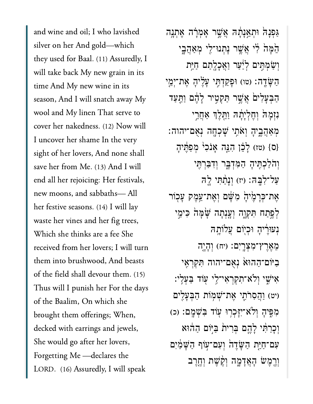and wine and oil; I who lavished silver on her And gold—which they used for Baal. (11) Assuredly, I will take back My new grain in its time And My new wine in its season, And I will snatch away My wool and My linen That serve to cover her nakedness. (12) Now will I uncover her shame In the very sight of her lovers, And none shall save her from Me. (13) And I will end all her rejoicing: Her festivals, new moons, and sabbaths-All her festive seasons.  $(14)$  I will lay waste her vines and her fig trees, Which she thinks are a fee She received from her lovers; I will turn them into brushwood, And beasts of the field shall devour them. (15) Thus will I punish her For the days of the Baalim, On which she  $d = \frac{d}{dt}$  and  $\frac{d}{dt}$  arrives and  $\frac{d}{dt}$  arrives and  $\frac{d}{dt}$  arrives and  $\frac{d}{dt}$  $\begin{array}{ccc} 0 & 0 & 0 \\ 1 & 1 & 1 & 1 \end{array}$ She would go after her lovers, Forgetting Me -declares the LORD. (16) Assuredly, I will speak

ַּגְפְנָהֹ וּתְאֱנָתָ֫תּ אֲשֶׁר אָמְרָ֫*ה* אֶתְנֶה ֵ֙הָּמ֙ה ִ֔לי ֲאֶׁ֥שר ָנְתנּו־ִ֖לי ְמַאֲהָ֑בי וְשָׂמְתֵּים לְיַּעַר וַאֲכָלֵתַם חַיֵּת הַשֶּׂדֵה: (טו) וּפַקַדְּחֶי עָלֶיהָ אֶת־יְמֵי ַהְבִעָּלִים אֲשֶׁר תַּקְטֶיר לָהֶם וַתֲעַד ּנִזְמָה<sup>ְיָ</sup>וְהָקִיָּיָתָהּ וַחֵּלֵךְ אֲחֲרֵי ְמַאֲהֶ֑ביָה ְוֹאִ֥תי ָׁשְכָ֖חה ְנֻאם־יהוה׃ (ס} (טז) לָבֶן הָגֶה אֲנֹכִ<sup>וּ</sup> מְפַתֵּיהָ וְהֹלַכְתִּיהָ הַמְּדָבֶר וְדִבַּרְתִּי עַל־לְבָּה׃ (יז) וְנַתֲתִּי לֵה אֶת־כִּרָמֶ֫יהָׂ מִשָּׁם וְאֵת־עֵמֶק עַכְוֹר לְפֵתַח תִּקְוֶה וְעֵנְתַה שַׁמַּה כִּימֵי ּנְעִוּרֵׂיהַ וּכְיִּוֹם עֲלוֹתֵֽה ֵמֶאֶרץ־ִמְצָֽרִים׃ )יח( ְוָהָ֤יה ַבִּיּׂוֹם־הָהוּאׂ נִאָם־יהוה תִּקְרָאֵי יִּאִי*ֹּ*שִׁי וְלֹא־תְקְרָאִי־לֵי עִוֹד בַּעָלִי: יט) וַהֲסְרֹתֵי אֶת־שָׁמְוֹת הַבְּעֲלֵים ּמְפִּיהָ וְלֹא־יִיַּכְרִוּ עָוֹד בְּשָׁמֵם: (כ) וְכַרַּתִּי לָהֱם בְּרִית בַּיִּוֹם הַהֹוּא עִם־חַיֵּת הַשָּׂדֵה וְעִם־עִוֹף הַשָּׁמַיִם ְוֶ֖רֶמׂש ָהֲאָדָ֑מה ְוֶ֨קֶׁשת ְוֶ֤חֶרב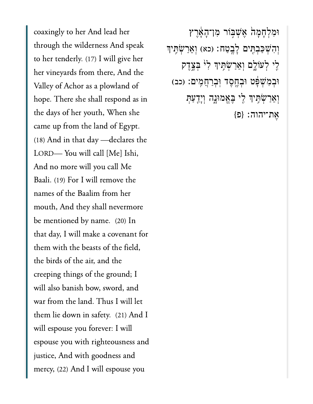coaxingly to her And lead her through the wilderness And speak to her tenderly. (17) I will give her her vineyards from there, And th<br>Valley of Achor as a plowland of Valley of Achor as a plowland of hope. There she shall respond as in the days of her youth, When she came up from the land of Egypt.  $(18)$  And in that day --declares the LORD-You will call [Me] Ishi, And no more will you call Me Baali. (19) For I will remove the names of the Baalim from her mouth, And they shall nevermore. be mentioned by name. (20) In that day, I will make a covenant for them with the beasts of the field, the birds of the air, and the creeping things of the ground; I will also banish bow, sword, and war from the land. Thus I will let them lie down in safety. (21) And I  $\begin{bmatrix} 11 & 0 & 0 \\ 0 & 0 & 0 \\ 0 & 0 & 0 \end{bmatrix}$ espouse you with righteousness and justice, And with goodness and mercy, (22) And I will espouse you

ֿוּמִלְחָמָהׂ אֶשְׁבִּוֹר מִו־הָאָדֶץ וְהִשְׁכַּבְתֶּים לָבֶטַח: (כא) וְאֵרַשְׂתִּיִךְ ּלִי לְעֹוֹלֶם וְאֵרַשְׂתָּיִךְ לִ<sup>וֹ</sup> בְּצֶדֶק וּבְמִ<sup>ּ</sup>שְׁפָּט וּבְחֶסֶד וְּבְרַחֲמִים: (כב) וְאֵרַשְׁתִּ<sup>י</sup>ִךְ לֵי בֶּאֱמוּנְֳה וְיָדֻעַּתְּ  ${p}$ אֶת־יהוה: {פ